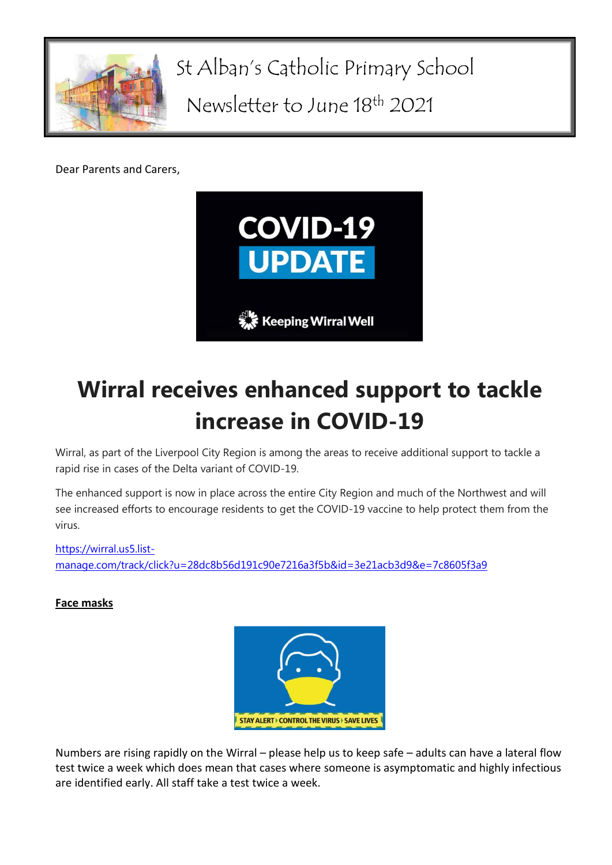

St Alban's Catholic Primary School

Newsletter to June 18th 2021

Dear Parents and Carers,



## **Wirral receives enhanced support to tackle increase in COVID-19**

Wirral, as part of the Liverpool City Region is among the areas to receive additional support to tackle a rapid rise in cases of the Delta variant of COVID-19.

The enhanced support is now in place across the entire City Region and much of the Northwest and will see increased efforts to encourage residents to get the COVID-19 vaccine to help protect them from the virus.

[https://wirral.us5.list](https://wirral.us5.list-manage.com/track/click?u=28dc8b56d191c90e7216a3f5b&id=3e21acb3d9&e=7c8605f3a9)[manage.com/track/click?u=28dc8b56d191c90e7216a3f5b&id=3e21acb3d9&e=7c8605f3a9](https://wirral.us5.list-manage.com/track/click?u=28dc8b56d191c90e7216a3f5b&id=3e21acb3d9&e=7c8605f3a9)

## **Face masks**



Numbers are rising rapidly on the Wirral – please help us to keep safe – adults can have a lateral flow test twice a week which does mean that cases where someone is asymptomatic and highly infectious are identified early. All staff take a test twice a week.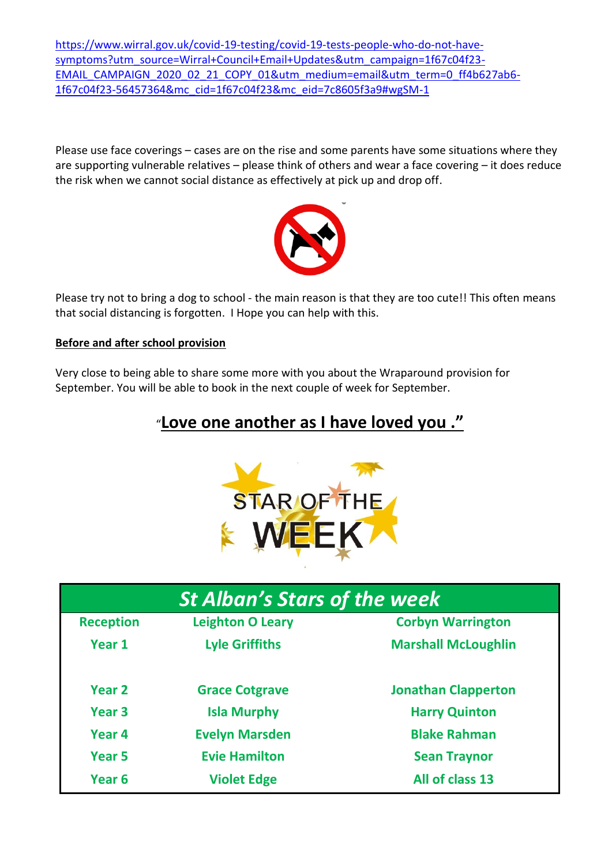[https://www.wirral.gov.uk/covid-19-testing/covid-19-tests-people-who-do-not-have](https://www.wirral.gov.uk/covid-19-testing/covid-19-tests-people-who-do-not-have-symptoms?utm_source=Wirral+Council+Email+Updates&utm_campaign=1f67c04f23-EMAIL_CAMPAIGN_2020_02_21_COPY_01&utm_medium=email&utm_term=0_ff4b627ab6-1f67c04f23-56457364&mc_cid=1f67c04f23&mc_eid=7c8605f3a9#wgSM-1)[symptoms?utm\\_source=Wirral+Council+Email+Updates&utm\\_campaign=1f67c04f23-](https://www.wirral.gov.uk/covid-19-testing/covid-19-tests-people-who-do-not-have-symptoms?utm_source=Wirral+Council+Email+Updates&utm_campaign=1f67c04f23-EMAIL_CAMPAIGN_2020_02_21_COPY_01&utm_medium=email&utm_term=0_ff4b627ab6-1f67c04f23-56457364&mc_cid=1f67c04f23&mc_eid=7c8605f3a9#wgSM-1) [EMAIL\\_CAMPAIGN\\_2020\\_02\\_21\\_COPY\\_01&utm\\_medium=email&utm\\_term=0\\_ff4b627ab6-](https://www.wirral.gov.uk/covid-19-testing/covid-19-tests-people-who-do-not-have-symptoms?utm_source=Wirral+Council+Email+Updates&utm_campaign=1f67c04f23-EMAIL_CAMPAIGN_2020_02_21_COPY_01&utm_medium=email&utm_term=0_ff4b627ab6-1f67c04f23-56457364&mc_cid=1f67c04f23&mc_eid=7c8605f3a9#wgSM-1) [1f67c04f23-56457364&mc\\_cid=1f67c04f23&mc\\_eid=7c8605f3a9#wgSM-1](https://www.wirral.gov.uk/covid-19-testing/covid-19-tests-people-who-do-not-have-symptoms?utm_source=Wirral+Council+Email+Updates&utm_campaign=1f67c04f23-EMAIL_CAMPAIGN_2020_02_21_COPY_01&utm_medium=email&utm_term=0_ff4b627ab6-1f67c04f23-56457364&mc_cid=1f67c04f23&mc_eid=7c8605f3a9#wgSM-1)

Please use face coverings – cases are on the rise and some parents have some situations where they are supporting vulnerable relatives – please think of others and wear a face covering – it does reduce the risk when we cannot social distance as effectively at pick up and drop off.



Please try not to bring a dog to school - the main reason is that they are too cute!! This often means that social distancing is forgotten. I Hope you can help with this.

## **Before and after school provision**

Very close to being able to share some more with you about the Wraparound provision for September. You will be able to book in the next couple of week for September.

## "**Love one another as I have loved you ."**



| <b>St Alban's Stars of the week</b> |                         |                            |
|-------------------------------------|-------------------------|----------------------------|
| <b>Reception</b>                    | <b>Leighton O Leary</b> | <b>Corbyn Warrington</b>   |
| Year 1                              | <b>Lyle Griffiths</b>   | <b>Marshall McLoughlin</b> |
| Year <sub>2</sub>                   | <b>Grace Cotgrave</b>   | <b>Jonathan Clapperton</b> |
| Year <sub>3</sub>                   | <b>Isla Murphy</b>      | <b>Harry Quinton</b>       |
| Year <sub>4</sub>                   | <b>Evelyn Marsden</b>   | <b>Blake Rahman</b>        |
| Year <sub>5</sub>                   | <b>Evie Hamilton</b>    | <b>Sean Traynor</b>        |
| Year <sub>6</sub>                   | <b>Violet Edge</b>      | All of class 13            |